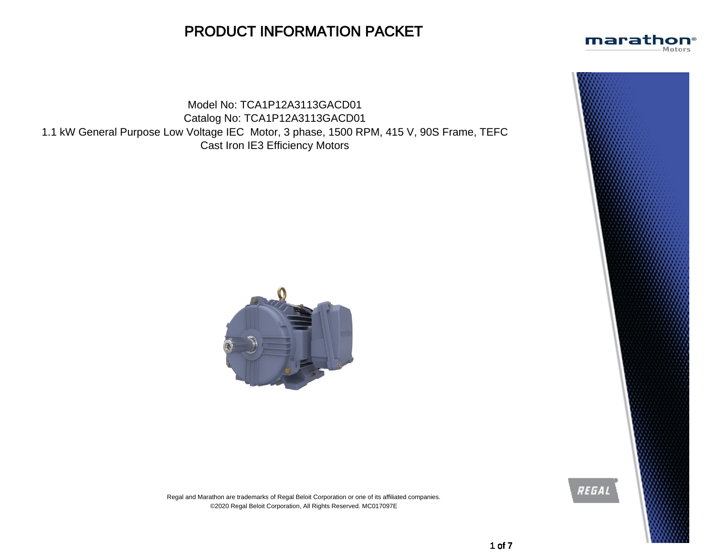#### PRODUCT INFORMATION PACKET



Catalog No: TCA1P12A3113GACD01 1.1 kW General Purpose Low Voltage IEC Motor, 3 phase, 1500 RPM, 415 V, 90S Frame, TEFC Cast Iron IE3 Efficiency Motors





marathon®

Motors

Regal and Marathon are trademarks of Regal Beloit Corporation or one of its affiliated companies. ©2020 Regal Beloit Corporation, All Rights Reserved. MC017097E

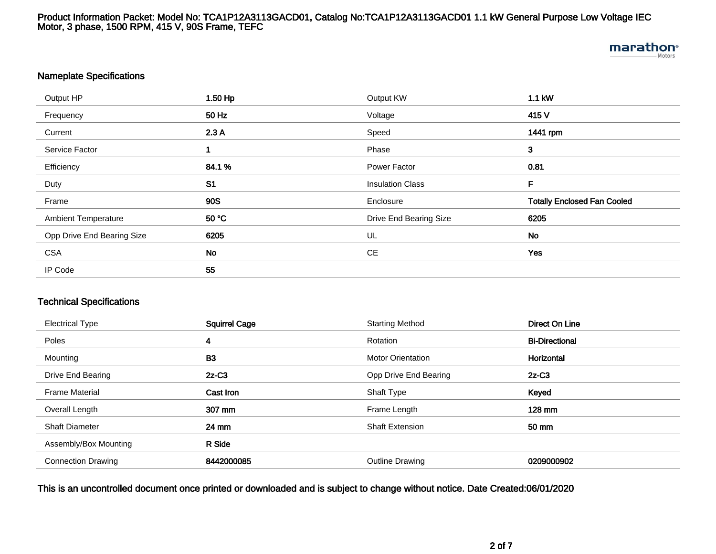#### Product Information Packet: Model No: TCA1P12A3113GACD01, Catalog No:TCA1P12A3113GACD01 1.1 kW General Purpose Low Voltage IEC Motor, 3 phase, 1500 RPM, 415 V, 90S Frame, TEFC

#### marathon<sup>®</sup>

#### Nameplate Specifications

| Output HP                  | 1.50 Hp        | Output KW               | 1.1 kW                             |
|----------------------------|----------------|-------------------------|------------------------------------|
| Frequency                  | 50 Hz          | Voltage                 | 415 V                              |
| Current                    | 2.3A           | Speed                   | 1441 rpm                           |
| Service Factor             |                | Phase                   | $\mathbf{3}$                       |
| Efficiency                 | 84.1%          | Power Factor            | 0.81                               |
| Duty                       | S <sub>1</sub> | <b>Insulation Class</b> | F                                  |
| Frame                      | <b>90S</b>     | Enclosure               | <b>Totally Enclosed Fan Cooled</b> |
| <b>Ambient Temperature</b> | 50 °C          | Drive End Bearing Size  | 6205                               |
| Opp Drive End Bearing Size | 6205           | UL                      | No                                 |
| <b>CSA</b>                 | No             | CE                      | Yes                                |
| IP Code                    | 55             |                         |                                    |

#### Technical Specifications

| <b>Electrical Type</b>    | <b>Squirrel Cage</b> | <b>Starting Method</b>   | Direct On Line        |
|---------------------------|----------------------|--------------------------|-----------------------|
| Poles                     | 4                    | Rotation                 | <b>Bi-Directional</b> |
| Mounting                  | <b>B3</b>            | <b>Motor Orientation</b> | Horizontal            |
| Drive End Bearing         | $2z-C3$              | Opp Drive End Bearing    | $2z-C3$               |
| <b>Frame Material</b>     | Cast Iron            | Shaft Type               | Keyed                 |
| Overall Length            | 307 mm               | Frame Length             | 128 mm                |
| <b>Shaft Diameter</b>     | 24 mm                | <b>Shaft Extension</b>   | 50 mm                 |
| Assembly/Box Mounting     | R Side               |                          |                       |
| <b>Connection Drawing</b> | 8442000085           | Outline Drawing          | 0209000902            |

This is an uncontrolled document once printed or downloaded and is subject to change without notice. Date Created:06/01/2020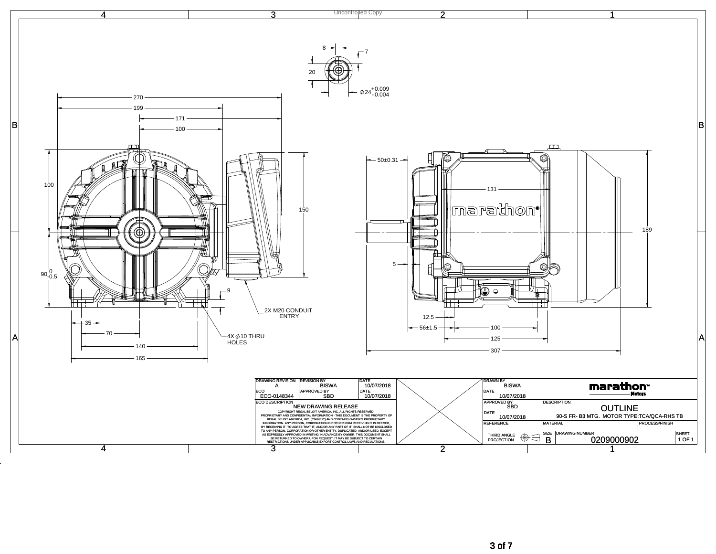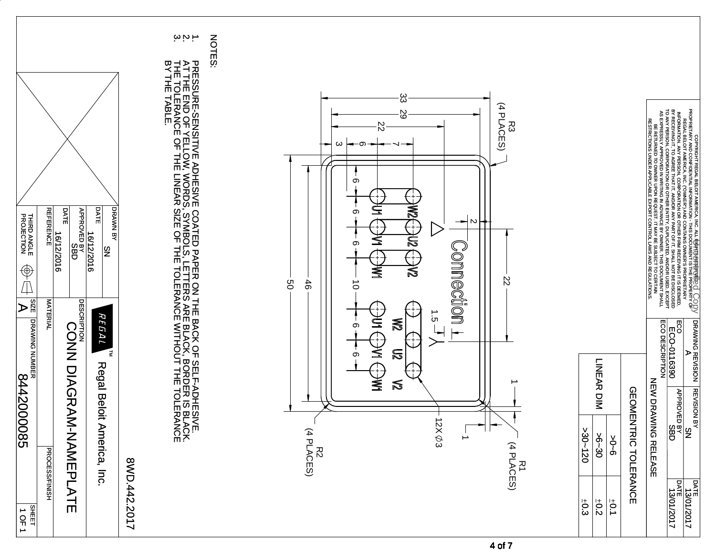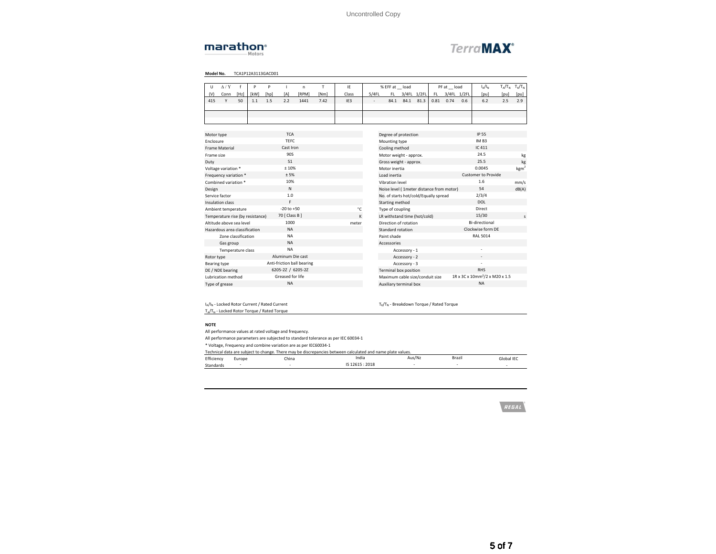#### **marathon**®



**Model No.** TCA1P12A3113GACD01

| U                                | $\Delta/Y$          | f    | P    | P    | т                 | n                          | т    | IF              |       | % EFF at load                             |               |             |      | PF at _load |             | $I_{\Delta}/I_{\rm N}$                     | $T_{\Delta}/T_{\rm N}$ | $T_{\kappa}/T_{\text{N}}$ |
|----------------------------------|---------------------|------|------|------|-------------------|----------------------------|------|-----------------|-------|-------------------------------------------|---------------|-------------|------|-------------|-------------|--------------------------------------------|------------------------|---------------------------|
| (V)                              | Conn                | [Hz] | [kW] | [hp] | [A]               | <b>[RPM]</b>               | [Nm] | Class           | 5/4FL | FL.                                       |               | 3/4FL 1/2FL | FL.  |             | 3/4FL 1/2FL | [pu]                                       | [pu]                   | [pu]                      |
| 415                              | Y                   | 50   | 1.1  | 1.5  | 2.2               | 1441                       | 7.42 | IE <sub>3</sub> | ÷.    | 84.1                                      | 84.1          | 81.3        | 0.81 | 0.74        | 0.6         | 6.2                                        | 2.5                    | 2.9                       |
|                                  |                     |      |      |      |                   |                            |      |                 |       |                                           |               |             |      |             |             |                                            |                        |                           |
|                                  |                     |      |      |      |                   |                            |      |                 |       |                                           |               |             |      |             |             |                                            |                        |                           |
|                                  |                     |      |      |      |                   |                            |      |                 |       |                                           |               |             |      |             |             |                                            |                        |                           |
| Motor type                       |                     |      |      |      | <b>TCA</b>        |                            |      |                 |       | Degree of protection                      |               |             |      |             |             | IP 55                                      |                        |                           |
| Enclosure                        |                     |      |      |      | TFFC              |                            |      |                 |       | Mounting type                             |               |             |      |             |             | IM <sub>B3</sub>                           |                        |                           |
| <b>Frame Material</b>            |                     |      |      |      | Cast Iron         |                            |      |                 |       | Cooling method                            |               |             |      |             |             | IC411                                      |                        |                           |
| Frame size                       |                     |      |      |      | 905               |                            |      |                 |       | Motor weight - approx.                    |               |             |      |             |             | 24.5                                       |                        | kg                        |
| Duty                             |                     |      |      |      | S <sub>1</sub>    |                            |      |                 |       | Gross weight - approx.                    |               |             |      |             |             | 25.5                                       |                        | kg                        |
| Voltage variation *              |                     |      |      |      | ±10%              |                            |      |                 |       | Motor inertia                             |               |             |      |             |             | 0.0045                                     |                        | kgm <sup>2</sup>          |
| Frequency variation *            |                     |      |      |      | $+5%$             |                            |      |                 |       | Load inertia                              |               |             |      |             |             | <b>Customer to Provide</b>                 |                        |                           |
| Combined variation *             |                     |      |      |      | 10%               |                            |      |                 |       | Vibration level                           |               |             |      |             |             | 1.6                                        |                        | mm/s                      |
| Design                           |                     |      |      |      | N                 |                            |      |                 |       | Noise level ( 1meter distance from motor) |               |             |      |             |             | 54                                         |                        | dB(A)                     |
| Service factor                   |                     |      |      |      | 1.0               |                            |      |                 |       | No. of starts hot/cold/Equally spread     |               |             |      |             |             | 2/3/4                                      |                        |                           |
| Insulation class                 |                     |      |      |      | F                 |                            |      |                 |       | Starting method                           |               |             |      |             |             | DOL                                        |                        |                           |
| Ambient temperature              |                     |      |      |      | $-20$ to $+50$    |                            |      | °C              |       | Type of coupling                          |               |             |      |             |             | Direct                                     |                        |                           |
| Temperature rise (by resistance) |                     |      |      |      | 70   Class B 1    |                            |      | K               |       | LR withstand time (hot/cold)              |               |             |      |             |             | 15/30                                      |                        | $\mathbf{S}$              |
| Altitude above sea level         |                     |      |      |      | 1000              |                            |      | meter           |       | Direction of rotation                     |               |             |      |             |             | <b>Bi-directional</b>                      |                        |                           |
| Hazardous area classification    |                     |      |      |      | <b>NA</b>         |                            |      |                 |       | Standard rotation                         |               |             |      |             |             | Clockwise form DE                          |                        |                           |
|                                  | Zone classification |      |      |      | <b>NA</b>         |                            |      |                 |       | Paint shade                               |               |             |      |             |             | <b>RAL 5014</b>                            |                        |                           |
|                                  | Gas group           |      |      |      | <b>NA</b>         |                            |      |                 |       | Accessories                               |               |             |      |             |             |                                            |                        |                           |
|                                  | Temperature class   |      |      |      | <b>NA</b>         |                            |      |                 |       |                                           | Accessory - 1 |             |      |             |             |                                            |                        |                           |
| Rotor type                       |                     |      |      |      | Aluminum Die cast |                            |      |                 |       |                                           | Accessory - 2 |             |      |             |             |                                            |                        |                           |
| Bearing type                     |                     |      |      |      |                   | Anti-friction ball bearing |      |                 |       |                                           | Accessory - 3 |             |      |             |             |                                            |                        |                           |
| DE / NDE bearing                 |                     |      |      |      | 6205-2Z / 6205-2Z |                            |      |                 |       | Terminal box position                     |               |             |      |             |             | <b>RHS</b>                                 |                        |                           |
| <b>Lubrication method</b>        |                     |      |      |      | Greased for life  |                            |      |                 |       | Maximum cable size/conduit size           |               |             |      |             |             | 1R x 3C x 10mm <sup>2</sup> /2 x M20 x 1.5 |                        |                           |
| Type of grease                   |                     |      |      |      | <b>NA</b>         |                            |      |                 |       | Auxiliary terminal box                    |               |             |      |             |             | <b>NA</b>                                  |                        |                           |
|                                  |                     |      |      |      |                   |                            |      |                 |       |                                           |               |             |      |             |             |                                            |                        |                           |

 $I_A/I_N$  - Locked Rotor Current / Rated Current TK/TN - Breakdown Torque / Rated Torque  $T_A/T_N$  - Locked Rotor Torque / Rated Torque

**NOTE**

All performance values at rated voltage and frequency. All performance parameters are subjected to standard tolerance as per IEC 60034-1

\* Voltage, Frequency and combine variation are as per IEC60034-1

|            |        |       | Technical data are subject to change. There may be discrepancies between calculated and name plate values. |        |        |            |
|------------|--------|-------|------------------------------------------------------------------------------------------------------------|--------|--------|------------|
| Efficiency | Europe | China | India                                                                                                      | Aus/Nz | Brazil | Global IFC |
| Standards  |        |       | IS 12615 : 2018                                                                                            |        |        | $\sim$     |

REGAL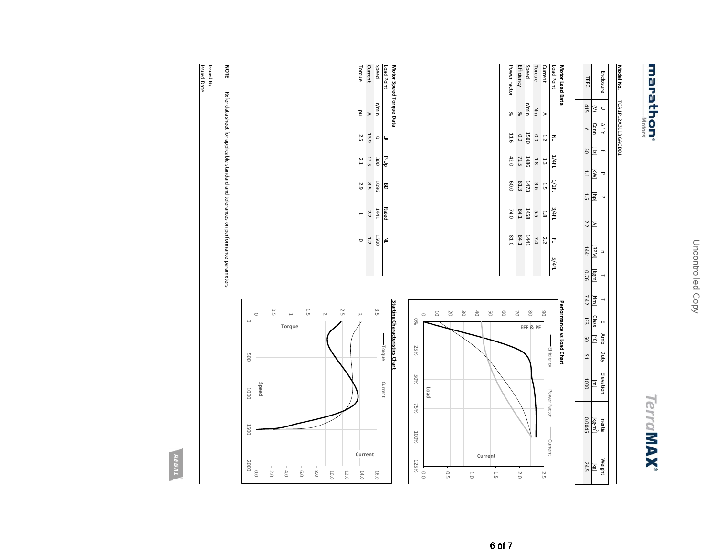# marathon®

## **TerraMAX**

#### Model No **Model No.** TCA1P12A3113GACD01 TCA1P12A3113GACD01

|  | TEFC   |                | Enclosul       |  |
|--|--------|----------------|----------------|--|
|  | 415    |                |                |  |
|  |        | Conn           | $\frac{1}{2}$  |  |
|  | S      |                |                |  |
|  |        | ≋              |                |  |
|  | ί.     | Ξ              | o              |  |
|  | 2.2    | ⋝              |                |  |
|  | 1441   | [RPN           |                |  |
|  | 97.0   | [kgm           | $\overline{a}$ |  |
|  | 7.42   | E              | ł              |  |
|  | 贡      | Clase          |                |  |
|  | ട്ട    | <u>კ</u>       | Amb            |  |
|  | LS     |                | Ang            |  |
|  | 1000   | $\overline{a}$ | Elevation      |  |
|  | 0.0045 | $[kg-m^2]$     | Inertia        |  |
|  | 24.5   | Kgi            | Weight         |  |

#### Load Point **Motor Load Data** ⋗  $\geq$ بر<br>2

| Load Point  |        | ≧    | 14t/T | 1/2FL | 3/4FL  | P               | 5/4FL |
|-------------|--------|------|-------|-------|--------|-----------------|-------|
| Current     |        | 1.2  | Ξ     | ί,    | 1.8    | 2.2             |       |
| Torque      | $\leq$ | 0.0  | 1.8   | 3.6   | ς<br>Ω | 7.4             |       |
| Speed       | r/min  | 1500 | 1486  | 1473  | 1458   | 1441            |       |
| Efficiency  | ×      | 0.0  | 72.5  | 81.3  | 84.1   | E <sup>18</sup> |       |
| Power Facto | ℅      | 11.6 | 42.0  | 0.09  | 74.0   | 81.0            |       |
|             |        |      |       |       |        |                 |       |
|             |        |      |       |       |        |                 |       |

### **Motor Speed Torque Data**

| Load Poir                  |       |      | 군<br>음         |      | Rated |      |
|----------------------------|-------|------|----------------|------|-------|------|
| Speed                      | r/min |      | 300            | 960T | 1441  | 1500 |
| <b>Curren</b> <sup>+</sup> |       | 13.9 | <b>12.5</b>    | 8.5  | 2.2   | 1.2  |
| lorque                     | g     | 2.5  | $\overline{L}$ | 2.9  |       |      |

# **NOTE** Refer data sheet for applicable standard and tolerances on performance parameters

Refer data sheet for applicable standard and tolerances on performance parameters

Issued Date Issued By



### **Starting Characteristics Chart Starting Characteristics Chart**



REGAL